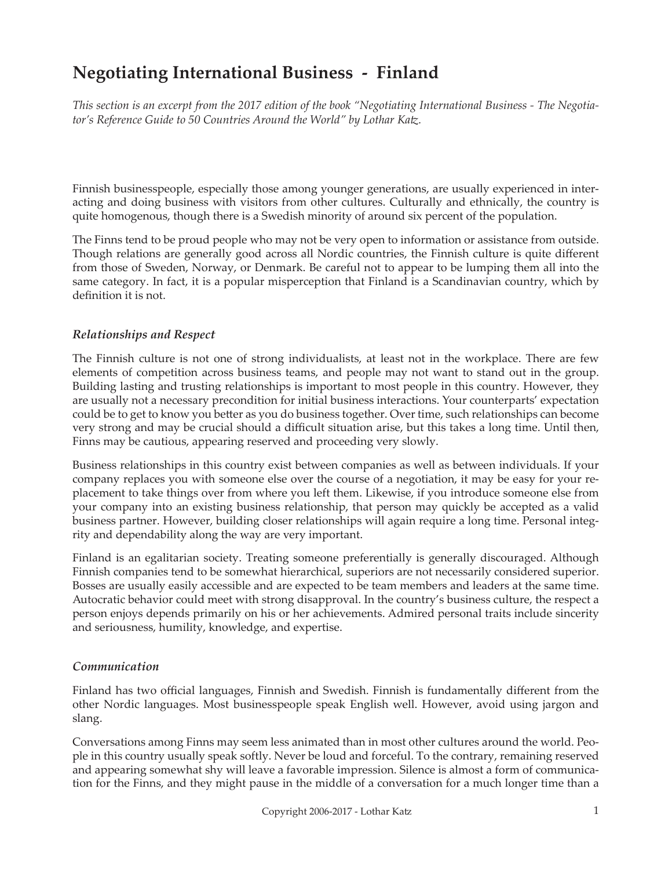# **Negotiating International Business - Finland**

*This section is an excerpt from the 2017 edition of the book "Negotiating International Business - The Negotiator's Reference Guide to 50 Countries Around the World" by Lothar Katz.*

Finnish businesspeople, especially those among younger generations, are usually experienced in interacting and doing business with visitors from other cultures. Culturally and ethnically, the country is quite homogenous, though there is a Swedish minority of around six percent of the population.

The Finns tend to be proud people who may not be very open to information or assistance from outside. Though relations are generally good across all Nordic countries, the Finnish culture is quite different from those of Sweden, Norway, or Denmark. Be careful not to appear to be lumping them all into the same category. In fact, it is a popular misperception that Finland is a Scandinavian country, which by definition it is not.

# *Relationships and Respect*

The Finnish culture is not one of strong individualists, at least not in the workplace. There are few elements of competition across business teams, and people may not want to stand out in the group. Building lasting and trusting relationships is important to most people in this country. However, they are usually not a necessary precondition for initial business interactions. Your counterparts' expectation could be to get to know you better as you do business together. Over time, such relationships can become very strong and may be crucial should a difficult situation arise, but this takes a long time. Until then, Finns may be cautious, appearing reserved and proceeding very slowly.

Business relationships in this country exist between companies as well as between individuals. If your company replaces you with someone else over the course of a negotiation, it may be easy for your replacement to take things over from where you left them. Likewise, if you introduce someone else from your company into an existing business relationship, that person may quickly be accepted as a valid business partner. However, building closer relationships will again require a long time. Personal integrity and dependability along the way are very important.

Finland is an egalitarian society. Treating someone preferentially is generally discouraged. Although Finnish companies tend to be somewhat hierarchical, superiors are not necessarily considered superior. Bosses are usually easily accessible and are expected to be team members and leaders at the same time. Autocratic behavior could meet with strong disapproval. In the country's business culture, the respect a person enjoys depends primarily on his or her achievements. Admired personal traits include sincerity and seriousness, humility, knowledge, and expertise.

# *Communication*

Finland has two official languages, Finnish and Swedish. Finnish is fundamentally different from the other Nordic languages. Most businesspeople speak English well. However, avoid using jargon and slang.

Conversations among Finns may seem less animated than in most other cultures around the world. People in this country usually speak softly. Never be loud and forceful. To the contrary, remaining reserved and appearing somewhat shy will leave a favorable impression. Silence is almost a form of communication for the Finns, and they might pause in the middle of a conversation for a much longer time than a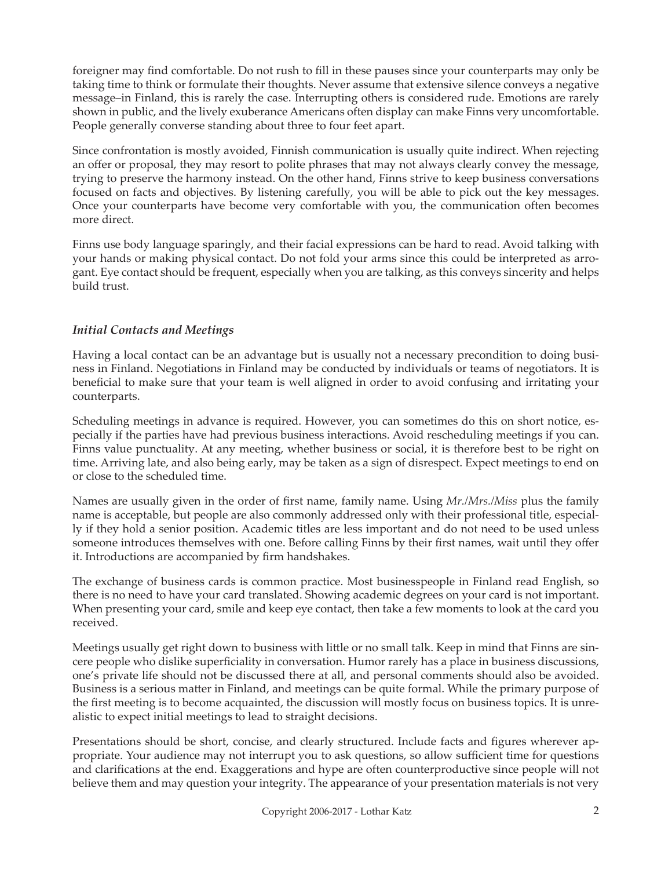foreigner may find comfortable. Do not rush to fill in these pauses since your counterparts may only be taking time to think or formulate their thoughts. Never assume that extensive silence conveys a negative message–in Finland, this is rarely the case. Interrupting others is considered rude. Emotions are rarely shown in public, and the lively exuberance Americans often display can make Finns very uncomfortable. People generally converse standing about three to four feet apart.

Since confrontation is mostly avoided, Finnish communication is usually quite indirect. When rejecting an offer or proposal, they may resort to polite phrases that may not always clearly convey the message, trying to preserve the harmony instead. On the other hand, Finns strive to keep business conversations focused on facts and objectives. By listening carefully, you will be able to pick out the key messages. Once your counterparts have become very comfortable with you, the communication often becomes more direct.

Finns use body language sparingly, and their facial expressions can be hard to read. Avoid talking with your hands or making physical contact. Do not fold your arms since this could be interpreted as arrogant. Eye contact should be frequent, especially when you are talking, as this conveys sincerity and helps build trust.

# *Initial Contacts and Meetings*

Having a local contact can be an advantage but is usually not a necessary precondition to doing business in Finland. Negotiations in Finland may be conducted by individuals or teams of negotiators. It is beneficial to make sure that your team is well aligned in order to avoid confusing and irritating your counterparts.

Scheduling meetings in advance is required. However, you can sometimes do this on short notice, especially if the parties have had previous business interactions. Avoid rescheduling meetings if you can. Finns value punctuality. At any meeting, whether business or social, it is therefore best to be right on time. Arriving late, and also being early, may be taken as a sign of disrespect. Expect meetings to end on or close to the scheduled time.

Names are usually given in the order of first name, family name. Using *Mr./Mrs./Miss* plus the family name is acceptable, but people are also commonly addressed only with their professional title, especially if they hold a senior position. Academic titles are less important and do not need to be used unless someone introduces themselves with one. Before calling Finns by their first names, wait until they offer it. Introductions are accompanied by firm handshakes.

The exchange of business cards is common practice. Most businesspeople in Finland read English, so there is no need to have your card translated. Showing academic degrees on your card is not important. When presenting your card, smile and keep eye contact, then take a few moments to look at the card you received.

Meetings usually get right down to business with little or no small talk. Keep in mind that Finns are sincere people who dislike superficiality in conversation. Humor rarely has a place in business discussions, one's private life should not be discussed there at all, and personal comments should also be avoided. Business is a serious matter in Finland, and meetings can be quite formal. While the primary purpose of the first meeting is to become acquainted, the discussion will mostly focus on business topics. It is unrealistic to expect initial meetings to lead to straight decisions.

Presentations should be short, concise, and clearly structured. Include facts and figures wherever appropriate. Your audience may not interrupt you to ask questions, so allow sufficient time for questions and clarifications at the end. Exaggerations and hype are often counterproductive since people will not believe them and may question your integrity. The appearance of your presentation materials is not very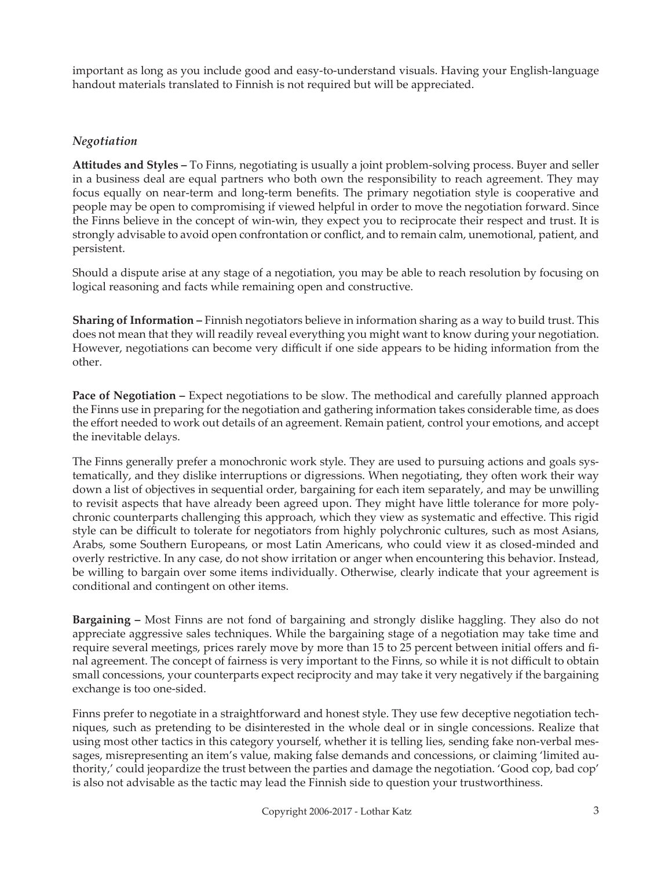important as long as you include good and easy-to-understand visuals. Having your English-language handout materials translated to Finnish is not required but will be appreciated.

# *Negotiation*

**Attitudes and Styles –** To Finns, negotiating is usually a joint problem-solving process. Buyer and seller in a business deal are equal partners who both own the responsibility to reach agreement. They may focus equally on near-term and long-term benefits. The primary negotiation style is cooperative and people may be open to compromising if viewed helpful in order to move the negotiation forward. Since the Finns believe in the concept of win-win, they expect you to reciprocate their respect and trust. It is strongly advisable to avoid open confrontation or conflict, and to remain calm, unemotional, patient, and persistent.

Should a dispute arise at any stage of a negotiation, you may be able to reach resolution by focusing on logical reasoning and facts while remaining open and constructive.

**Sharing of Information –** Finnish negotiators believe in information sharing as a way to build trust. This does not mean that they will readily reveal everything you might want to know during your negotiation. However, negotiations can become very difficult if one side appears to be hiding information from the other.

**Pace of Negotiation –** Expect negotiations to be slow. The methodical and carefully planned approach the Finns use in preparing for the negotiation and gathering information takes considerable time, as does the effort needed to work out details of an agreement. Remain patient, control your emotions, and accept the inevitable delays.

The Finns generally prefer a monochronic work style. They are used to pursuing actions and goals systematically, and they dislike interruptions or digressions. When negotiating, they often work their way down a list of objectives in sequential order, bargaining for each item separately, and may be unwilling to revisit aspects that have already been agreed upon. They might have little tolerance for more polychronic counterparts challenging this approach, which they view as systematic and effective. This rigid style can be difficult to tolerate for negotiators from highly polychronic cultures, such as most Asians, Arabs, some Southern Europeans, or most Latin Americans, who could view it as closed-minded and overly restrictive. In any case, do not show irritation or anger when encountering this behavior. Instead, be willing to bargain over some items individually. Otherwise, clearly indicate that your agreement is conditional and contingent on other items.

**Bargaining –** Most Finns are not fond of bargaining and strongly dislike haggling. They also do not appreciate aggressive sales techniques. While the bargaining stage of a negotiation may take time and require several meetings, prices rarely move by more than 15 to 25 percent between initial offers and final agreement. The concept of fairness is very important to the Finns, so while it is not difficult to obtain small concessions, your counterparts expect reciprocity and may take it very negatively if the bargaining exchange is too one-sided.

Finns prefer to negotiate in a straightforward and honest style. They use few deceptive negotiation techniques, such as pretending to be disinterested in the whole deal or in single concessions. Realize that using most other tactics in this category yourself, whether it is telling lies, sending fake non-verbal messages, misrepresenting an item's value, making false demands and concessions, or claiming 'limited authority,' could jeopardize the trust between the parties and damage the negotiation. 'Good cop, bad cop' is also not advisable as the tactic may lead the Finnish side to question your trustworthiness.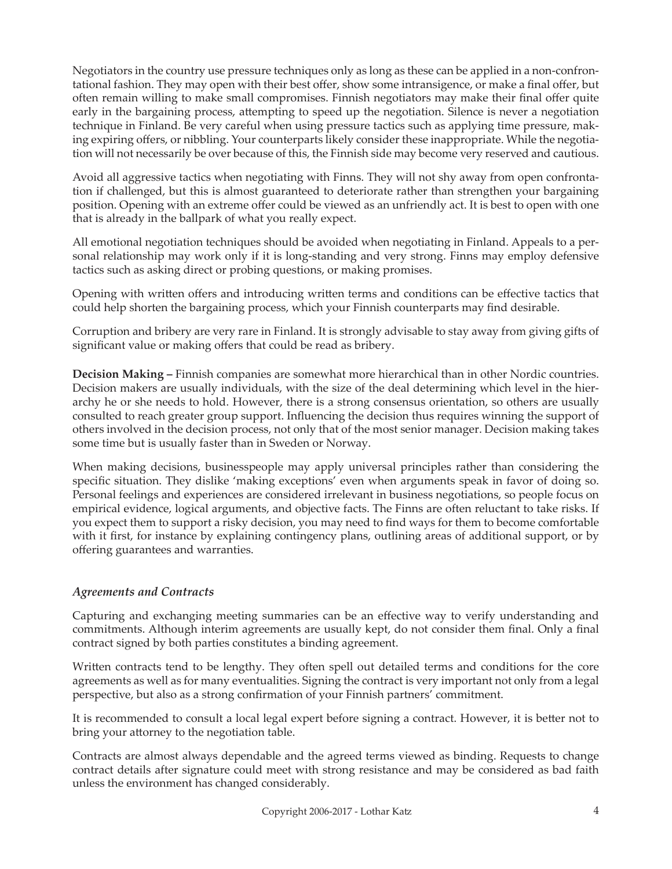Negotiators in the country use pressure techniques only as long as these can be applied in a non-confrontational fashion. They may open with their best offer, show some intransigence, or make a final offer, but often remain willing to make small compromises. Finnish negotiators may make their final offer quite early in the bargaining process, attempting to speed up the negotiation. Silence is never a negotiation technique in Finland. Be very careful when using pressure tactics such as applying time pressure, making expiring offers, or nibbling. Your counterparts likely consider these inappropriate. While the negotiation will not necessarily be over because of this, the Finnish side may become very reserved and cautious.

Avoid all aggressive tactics when negotiating with Finns. They will not shy away from open confrontation if challenged, but this is almost guaranteed to deteriorate rather than strengthen your bargaining position. Opening with an extreme offer could be viewed as an unfriendly act. It is best to open with one that is already in the ballpark of what you really expect.

All emotional negotiation techniques should be avoided when negotiating in Finland. Appeals to a personal relationship may work only if it is long-standing and very strong. Finns may employ defensive tactics such as asking direct or probing questions, or making promises.

Opening with written offers and introducing written terms and conditions can be effective tactics that could help shorten the bargaining process, which your Finnish counterparts may find desirable.

Corruption and bribery are very rare in Finland. It is strongly advisable to stay away from giving gifts of significant value or making offers that could be read as bribery.

**Decision Making –** Finnish companies are somewhat more hierarchical than in other Nordic countries. Decision makers are usually individuals, with the size of the deal determining which level in the hierarchy he or she needs to hold. However, there is a strong consensus orientation, so others are usually consulted to reach greater group support. Influencing the decision thus requires winning the support of others involved in the decision process, not only that of the most senior manager. Decision making takes some time but is usually faster than in Sweden or Norway.

When making decisions, businesspeople may apply universal principles rather than considering the specific situation. They dislike 'making exceptions' even when arguments speak in favor of doing so. Personal feelings and experiences are considered irrelevant in business negotiations, so people focus on empirical evidence, logical arguments, and objective facts. The Finns are often reluctant to take risks. If you expect them to support a risky decision, you may need to find ways for them to become comfortable with it first, for instance by explaining contingency plans, outlining areas of additional support, or by offering guarantees and warranties.

# *Agreements and Contracts*

Capturing and exchanging meeting summaries can be an effective way to verify understanding and commitments. Although interim agreements are usually kept, do not consider them final. Only a final contract signed by both parties constitutes a binding agreement.

Written contracts tend to be lengthy. They often spell out detailed terms and conditions for the core agreements as well as for many eventualities. Signing the contract is very important not only from a legal perspective, but also as a strong confirmation of your Finnish partners' commitment.

It is recommended to consult a local legal expert before signing a contract. However, it is better not to bring your attorney to the negotiation table.

Contracts are almost always dependable and the agreed terms viewed as binding. Requests to change contract details after signature could meet with strong resistance and may be considered as bad faith unless the environment has changed considerably.